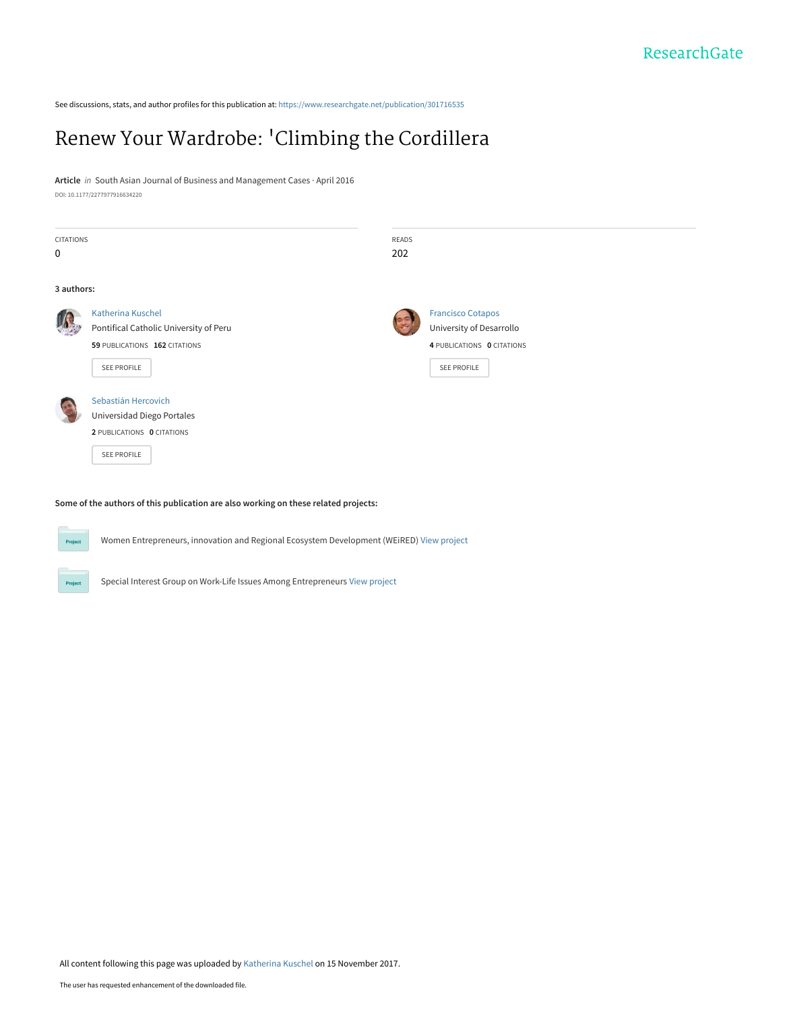See discussions, stats, and author profiles for this publication at: [https://www.researchgate.net/publication/301716535](https://www.researchgate.net/publication/301716535_Renew_Your_Wardrobe_%27Climbing_the_Cordillera?enrichId=rgreq-620f59cffeba736135ee953b54c9ad3b-XXX&enrichSource=Y292ZXJQYWdlOzMwMTcxNjUzNTtBUzo1NjA3OTMwMDAxMzY3MDRAMTUxMDcxNDg3ODE1Mg%3D%3D&el=1_x_2&_esc=publicationCoverPdf)

# Renew Your Wardrobe: ['Climbing the Cordillera](https://www.researchgate.net/publication/301716535_Renew_Your_Wardrobe_%27Climbing_the_Cordillera?enrichId=rgreq-620f59cffeba736135ee953b54c9ad3b-XXX&enrichSource=Y292ZXJQYWdlOzMwMTcxNjUzNTtBUzo1NjA3OTMwMDAxMzY3MDRAMTUxMDcxNDg3ODE1Mg%3D%3D&el=1_x_3&_esc=publicationCoverPdf)

**Article** in South Asian Journal of Business and Management Cases · April 2016 DOI: 10.1177/2277977916634220

| <b>CITATIONS</b><br>$\mathbf 0$ |                                                                                                             | READS<br>202 |                                                                                                   |
|---------------------------------|-------------------------------------------------------------------------------------------------------------|--------------|---------------------------------------------------------------------------------------------------|
| 3 authors:                      |                                                                                                             |              |                                                                                                   |
|                                 | Katherina Kuschel<br>Pontifical Catholic University of Peru<br>59 PUBLICATIONS 162 CITATIONS<br>SEE PROFILE |              | <b>Francisco Cotapos</b><br>University of Desarrollo<br>4 PUBLICATIONS 0 CITATIONS<br>SEE PROFILE |
|                                 | Sebastián Hercovich<br>Universidad Diego Portales<br>2 PUBLICATIONS 0 CITATIONS<br>SEE PROFILE              |              |                                                                                                   |

#### **Some of the authors of this publication are also working on these related projects:**



Women Entrepreneurs, innovation and Regional Ecosystem Development (WEiRED) [View project](https://www.researchgate.net/project/Women-Entrepreneurs-innovation-and-Regional-Ecosystem-Development-WEiRED?enrichId=rgreq-620f59cffeba736135ee953b54c9ad3b-XXX&enrichSource=Y292ZXJQYWdlOzMwMTcxNjUzNTtBUzo1NjA3OTMwMDAxMzY3MDRAMTUxMDcxNDg3ODE1Mg%3D%3D&el=1_x_9&_esc=publicationCoverPdf)



Special Interest Group on Work-Life Issues Among Entrepreneurs [View project](https://www.researchgate.net/project/Special-Interest-Group-on-Work-Life-Issues-Among-Entrepreneurs?enrichId=rgreq-620f59cffeba736135ee953b54c9ad3b-XXX&enrichSource=Y292ZXJQYWdlOzMwMTcxNjUzNTtBUzo1NjA3OTMwMDAxMzY3MDRAMTUxMDcxNDg3ODE1Mg%3D%3D&el=1_x_9&_esc=publicationCoverPdf)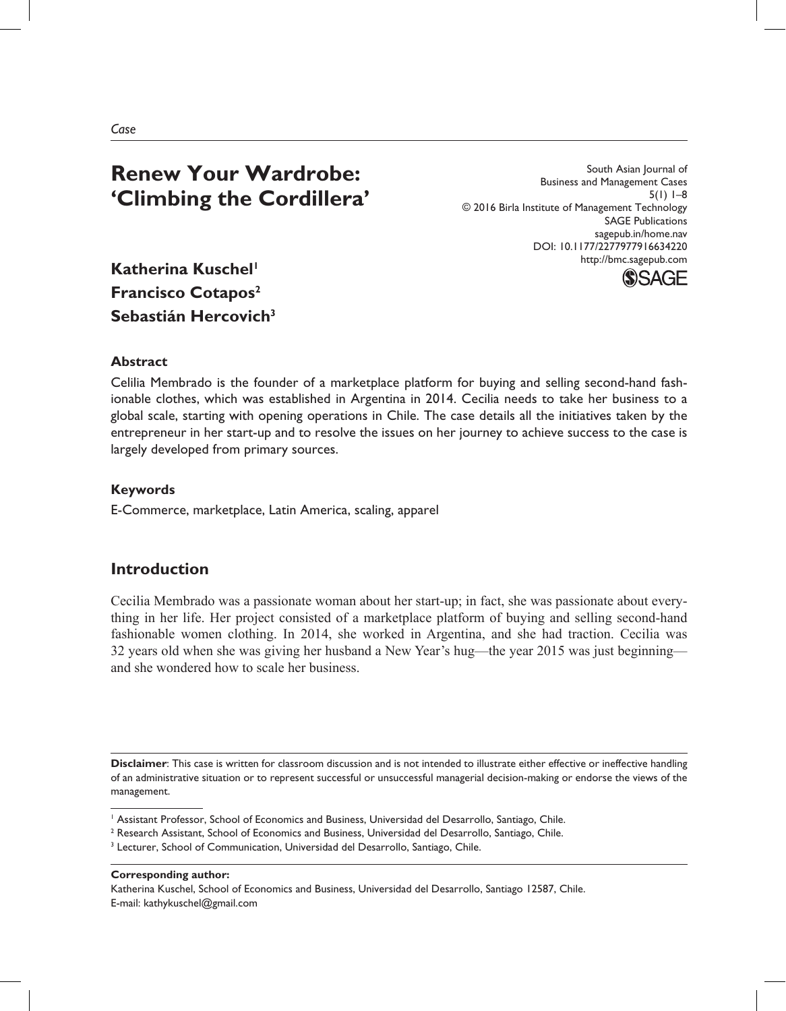# **Renew Your Wardrobe: 'Climbing the Cordillera'**

South Asian Journal of Business and Management Cases 5(1) 1–8 © 2016 Birla Institute of Management Technology SAGE Publications sagepub.in/home.nav DOI: 10.1177/2277977916634220 http://bmc.sagepub.com

**Katherina Kuschel1 Francisco Cotapos2 Sebastián Hercovich3**

# (S)SAGF

#### **Abstract**

Celilia Membrado is the founder of a marketplace platform for buying and selling second-hand fashionable clothes, which was established in Argentina in 2014. Cecilia needs to take her business to a global scale, starting with opening operations in Chile. The case details all the initiatives taken by the entrepreneur in her start-up and to resolve the issues on her journey to achieve success to the case is largely developed from primary sources.

#### **Keywords**

E-Commerce, marketplace, Latin America, scaling, apparel

# **Introduction**

Cecilia Membrado was a passionate woman about her start-up; in fact, she was passionate about everything in her life. Her project consisted of a marketplace platform of buying and selling second-hand fashionable women clothing. In 2014, she worked in Argentina, and she had traction. Cecilia was 32 years old when she was giving her husband a New Year's hug—the year 2015 was just beginning and she wondered how to scale her business.

**Disclaimer**: This case is written for classroom discussion and is not intended to illustrate either effective or ineffective handling of an administrative situation or to represent successful or unsuccessful managerial decision-making or endorse the views of the management.

**Corresponding author:**

<sup>1</sup> Assistant Professor, School of Economics and Business, Universidad del Desarrollo, Santiago, Chile.

<sup>&</sup>lt;sup>2</sup> Research Assistant, School of Economics and Business, Universidad del Desarrollo, Santiago, Chile.

<sup>&</sup>lt;sup>3</sup> Lecturer, School of Communication, Universidad del Desarrollo, Santiago, Chile.

Katherina Kuschel, School of Economics and Business, Universidad del Desarrollo, Santiago 12587, Chile. E-mail: kathykuschel@gmail.com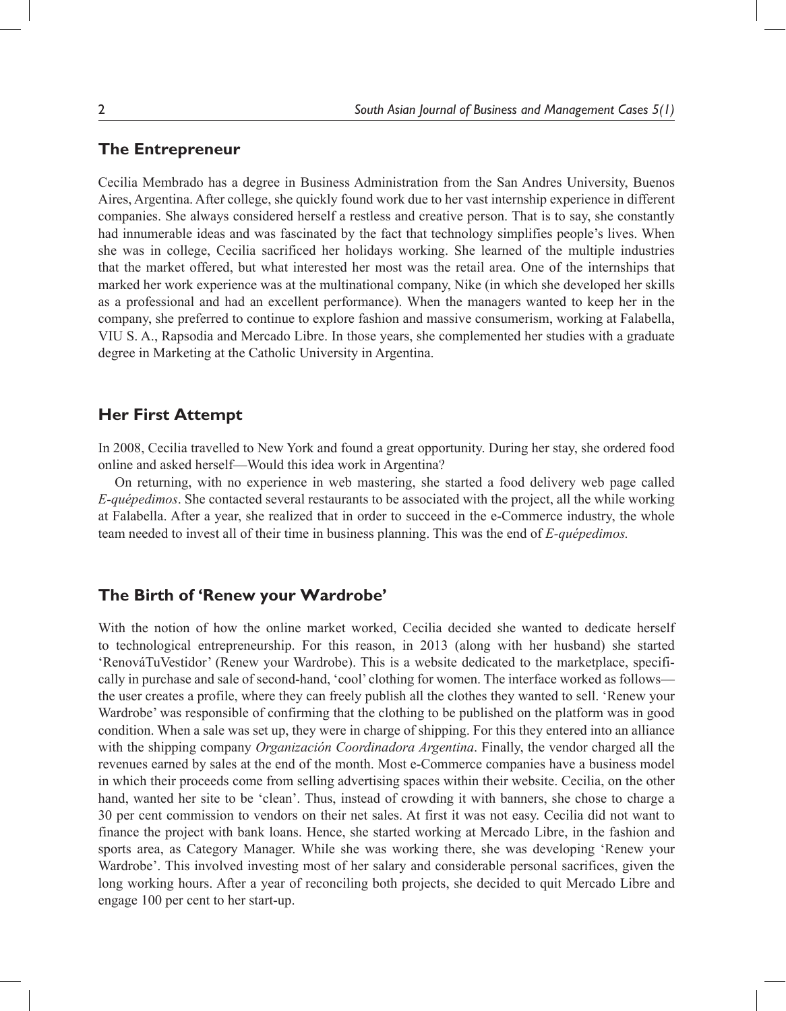#### **The Entrepreneur**

Cecilia Membrado has a degree in Business Administration from the San Andres University, Buenos Aires, Argentina. After college, she quickly found work due to her vast internship experience in different companies. She always considered herself a restless and creative person. That is to say, she constantly had innumerable ideas and was fascinated by the fact that technology simplifies people's lives. When she was in college, Cecilia sacrificed her holidays working. She learned of the multiple industries that the market offered, but what interested her most was the retail area. One of the internships that marked her work experience was at the multinational company, Nike (in which she developed her skills as a professional and had an excellent performance). When the managers wanted to keep her in the company, she preferred to continue to explore fashion and massive consumerism, working at Falabella, VIU S. A., Rapsodia and Mercado Libre. In those years, she complemented her studies with a graduate degree in Marketing at the Catholic University in Argentina.

#### **Her First Attempt**

In 2008, Cecilia travelled to New York and found a great opportunity. During her stay, she ordered food online and asked herself—Would this idea work in Argentina?

On returning, with no experience in web mastering, she started a food delivery web page called *E-quépedimos*. She contacted several restaurants to be associated with the project, all the while working at Falabella. After a year, she realized that in order to succeed in the e-Commerce industry, the whole team needed to invest all of their time in business planning. This was the end of *E-quépedimos.*

#### **The Birth of 'Renew your Wardrobe'**

With the notion of how the online market worked, Cecilia decided she wanted to dedicate herself to technological entrepreneurship. For this reason, in 2013 (along with her husband) she started 'RenováTuVestidor' (Renew your Wardrobe). This is a website dedicated to the marketplace, specifically in purchase and sale of second-hand, 'cool' clothing for women. The interface worked as follows the user creates a profile, where they can freely publish all the clothes they wanted to sell. 'Renew your Wardrobe' was responsible of confirming that the clothing to be published on the platform was in good condition. When a sale was set up, they were in charge of shipping. For this they entered into an alliance with the shipping company *Organización Coordinadora Argentina*. Finally, the vendor charged all the revenues earned by sales at the end of the month. Most e-Commerce companies have a business model in which their proceeds come from selling advertising spaces within their website. Cecilia, on the other hand, wanted her site to be 'clean'. Thus, instead of crowding it with banners, she chose to charge a 30 per cent commission to vendors on their net sales. At first it was not easy. Cecilia did not want to finance the project with bank loans. Hence, she started working at Mercado Libre, in the fashion and sports area, as Category Manager. While she was working there, she was developing 'Renew your Wardrobe'. This involved investing most of her salary and considerable personal sacrifices, given the long working hours. After a year of reconciling both projects, she decided to quit Mercado Libre and engage 100 per cent to her start-up.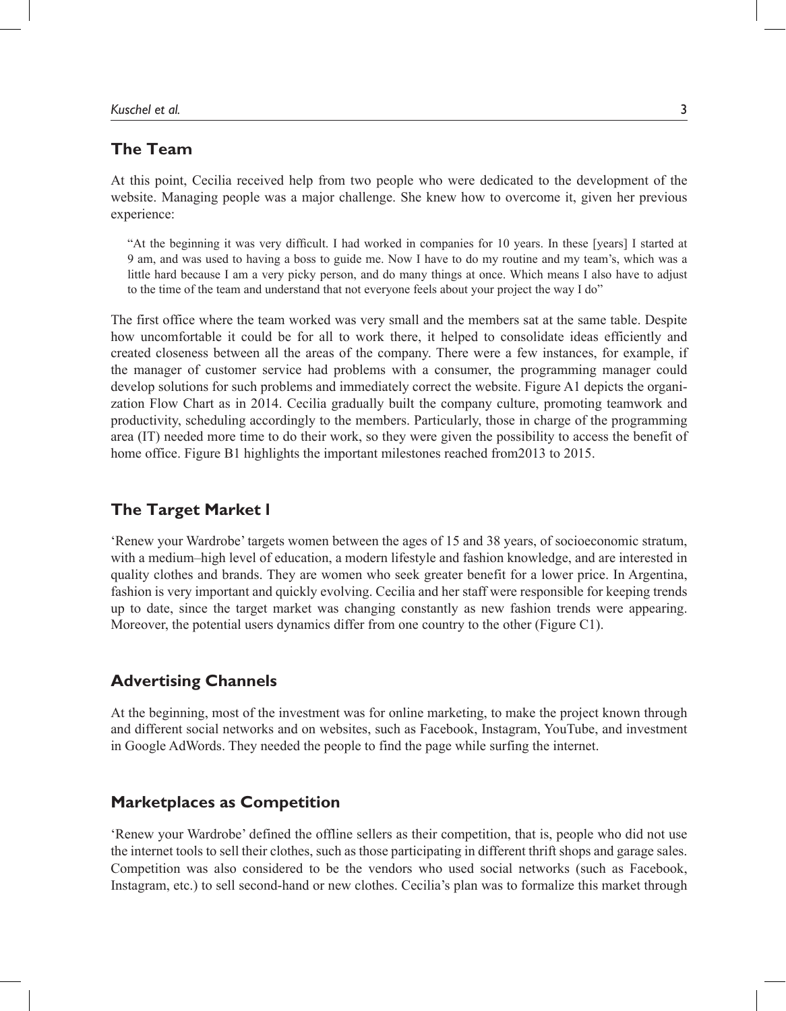*Kuschel et al.* 3

#### **The Team**

At this point, Cecilia received help from two people who were dedicated to the development of the website. Managing people was a major challenge. She knew how to overcome it, given her previous experience:

"At the beginning it was very diffcult. I had worked in companies for 10 years. In these [years] I started at 9 am, and was used to having a boss to guide me. Now I have to do my routine and my team's, which was a little hard because I am a very picky person, and do many things at once. Which means I also have to adjust to the time of the team and understand that not everyone feels about your project the way I do"

The first office where the team worked was very small and the members sat at the same table. Despite how uncomfortable it could be for all to work there, it helped to consolidate ideas efficiently and created closeness between all the areas of the company. There were a few instances, for example, if the manager of customer service had problems with a consumer, the programming manager could develop solutions for such problems and immediately correct the website. Figure A1 depicts the organization Flow Chart as in 2014. Cecilia gradually built the company culture, promoting teamwork and productivity, scheduling accordingly to the members. Particularly, those in charge of the programming area (IT) needed more time to do their work, so they were given the possibility to access the benefit of home office. Figure B1 highlights the important milestones reached from2013 to 2015.

# **The Target Market l**

'Renew your Wardrobe' targets women between the ages of 15 and 38 years, of socioeconomic stratum, with a medium–high level of education, a modern lifestyle and fashion knowledge, and are interested in quality clothes and brands. They are women who seek greater benefit for a lower price. In Argentina, fashion is very important and quickly evolving. Cecilia and her staff were responsible for keeping trends up to date, since the target market was changing constantly as new fashion trends were appearing. Moreover, the potential users dynamics differ from one country to the other (Figure C1).

# **Advertising Channels**

At the beginning, most of the investment was for online marketing, to make the project known through and different social networks and on websites, such as Facebook, Instagram, YouTube, and investment in Google AdWords. They needed the people to find the page while surfing the internet.

#### **Marketplaces as Competition**

'Renew your Wardrobe' defined the offline sellers as their competition, that is, people who did not use the internet tools to sell their clothes, such as those participating in different thrift shops and garage sales. Competition was also considered to be the vendors who used social networks (such as Facebook, Instagram, etc.) to sell second-hand or new clothes. Cecilia's plan was to formalize this market through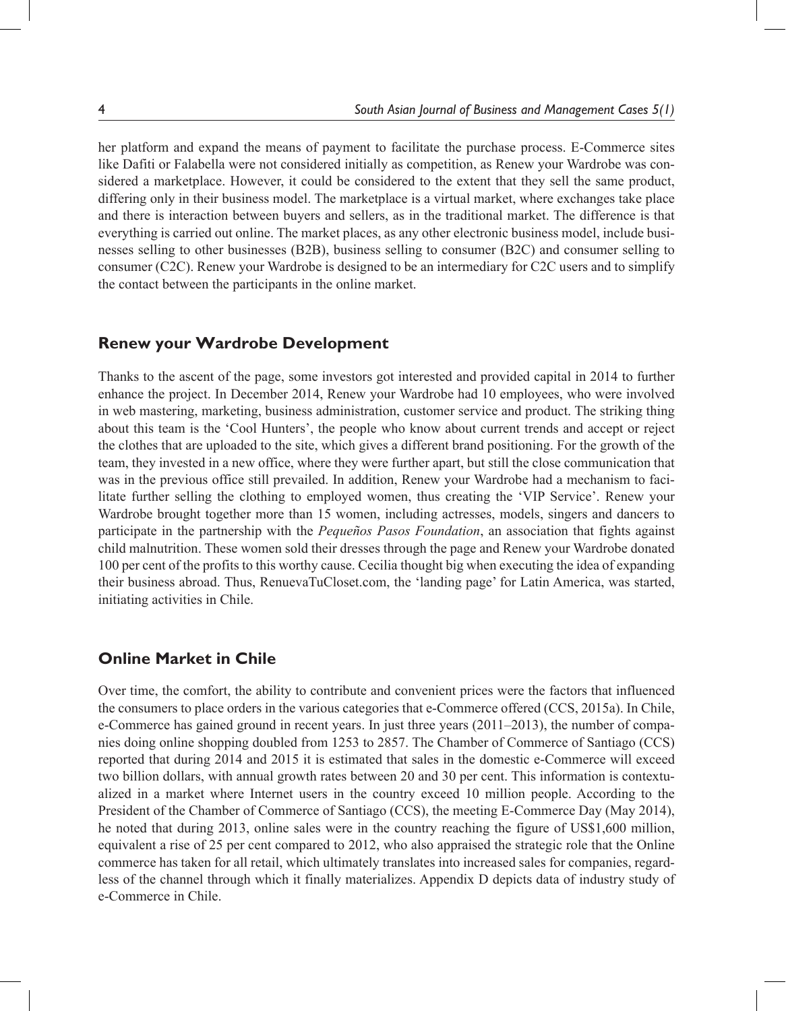her platform and expand the means of payment to facilitate the purchase process. E-Commerce sites like Dafiti or Falabella were not considered initially as competition, as Renew your Wardrobe was considered a marketplace. However, it could be considered to the extent that they sell the same product, differing only in their business model. The marketplace is a virtual market, where exchanges take place and there is interaction between buyers and sellers, as in the traditional market. The difference is that everything is carried out online. The market places, as any other electronic business model, include businesses selling to other businesses (B2B), business selling to consumer (B2C) and consumer selling to consumer (C2C). Renew your Wardrobe is designed to be an intermediary for C2C users and to simplify the contact between the participants in the online market.

#### **Renew your Wardrobe Development**

Thanks to the ascent of the page, some investors got interested and provided capital in 2014 to further enhance the project. In December 2014, Renew your Wardrobe had 10 employees, who were involved in web mastering, marketing, business administration, customer service and product. The striking thing about this team is the 'Cool Hunters', the people who know about current trends and accept or reject the clothes that are uploaded to the site, which gives a different brand positioning. For the growth of the team, they invested in a new office, where they were further apart, but still the close communication that was in the previous office still prevailed. In addition, Renew your Wardrobe had a mechanism to facilitate further selling the clothing to employed women, thus creating the 'VIP Service'. Renew your Wardrobe brought together more than 15 women, including actresses, models, singers and dancers to participate in the partnership with the *Pequeños Pasos Foundation*, an association that fights against child malnutrition. These women sold their dresses through the page and Renew your Wardrobe donated 100 per cent of the profits to this worthy cause. Cecilia thought big when executing the idea of expanding their business abroad. Thus, RenuevaTuCloset.com, the 'landing page' for Latin America, was started, initiating activities in Chile.

#### **Online Market in Chile**

Over time, the comfort, the ability to contribute and convenient prices were the factors that influenced the consumers to place orders in the various categories that e-Commerce offered (CCS, 2015a). In Chile, e-Commerce has gained ground in recent years. In just three years (2011–2013), the number of companies doing online shopping doubled from 1253 to 2857. The Chamber of Commerce of Santiago (CCS) reported that during 2014 and 2015 it is estimated that sales in the domestic e-Commerce will exceed two billion dollars, with annual growth rates between 20 and 30 per cent. This information is contextualized in a market where Internet users in the country exceed 10 million people. According to the President of the Chamber of Commerce of Santiago (CCS), the meeting E-Commerce Day (May 2014), he noted that during 2013, online sales were in the country reaching the figure of US\$1,600 million, equivalent a rise of 25 per cent compared to 2012, who also appraised the strategic role that the Online commerce has taken for all retail, which ultimately translates into increased sales for companies, regardless of the channel through which it finally materializes. Appendix D depicts data of industry study of e-Commerce in Chile.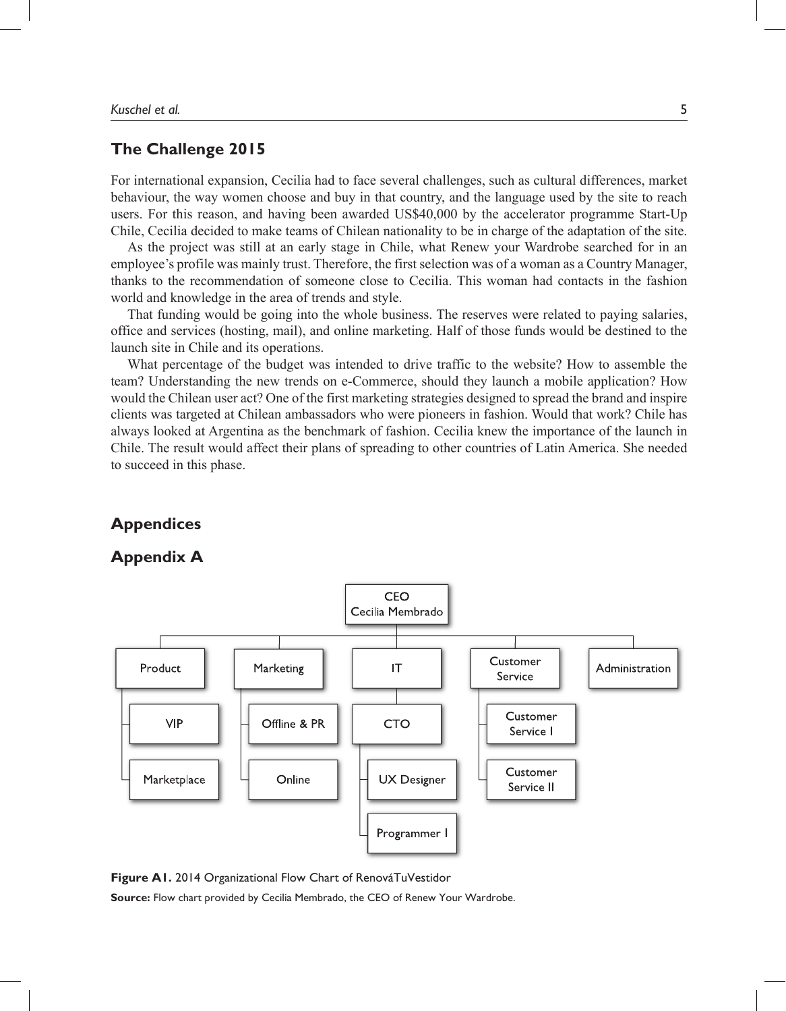#### **The Challenge 2015**

For international expansion, Cecilia had to face several challenges, such as cultural differences, market behaviour, the way women choose and buy in that country, and the language used by the site to reach users. For this reason, and having been awarded US\$40,000 by the accelerator programme Start-Up Chile, Cecilia decided to make teams of Chilean nationality to be in charge of the adaptation of the site.

As the project was still at an early stage in Chile, what Renew your Wardrobe searched for in an employee's profile was mainly trust. Therefore, the first selection was of a woman as a Country Manager, thanks to the recommendation of someone close to Cecilia. This woman had contacts in the fashion world and knowledge in the area of trends and style.

That funding would be going into the whole business. The reserves were related to paying salaries, office and services (hosting, mail), and online marketing. Half of those funds would be destined to the launch site in Chile and its operations.

What percentage of the budget was intended to drive traffic to the website? How to assemble the team? Understanding the new trends on e-Commerce, should they launch a mobile application? How would the Chilean user act? One of the first marketing strategies designed to spread the brand and inspire clients was targeted at Chilean ambassadors who were pioneers in fashion. Would that work? Chile has always looked at Argentina as the benchmark of fashion. Cecilia knew the importance of the launch in Chile. The result would affect their plans of spreading to other countries of Latin America. She needed to succeed in this phase.

# **Appendices**

# **Appendix A**



**Figure A1.** 2014 Organizational Flow Chart of RenováTuVestidor

**Source:** Flow chart provided by Cecilia Membrado, the CEO of Renew Your Wardrobe.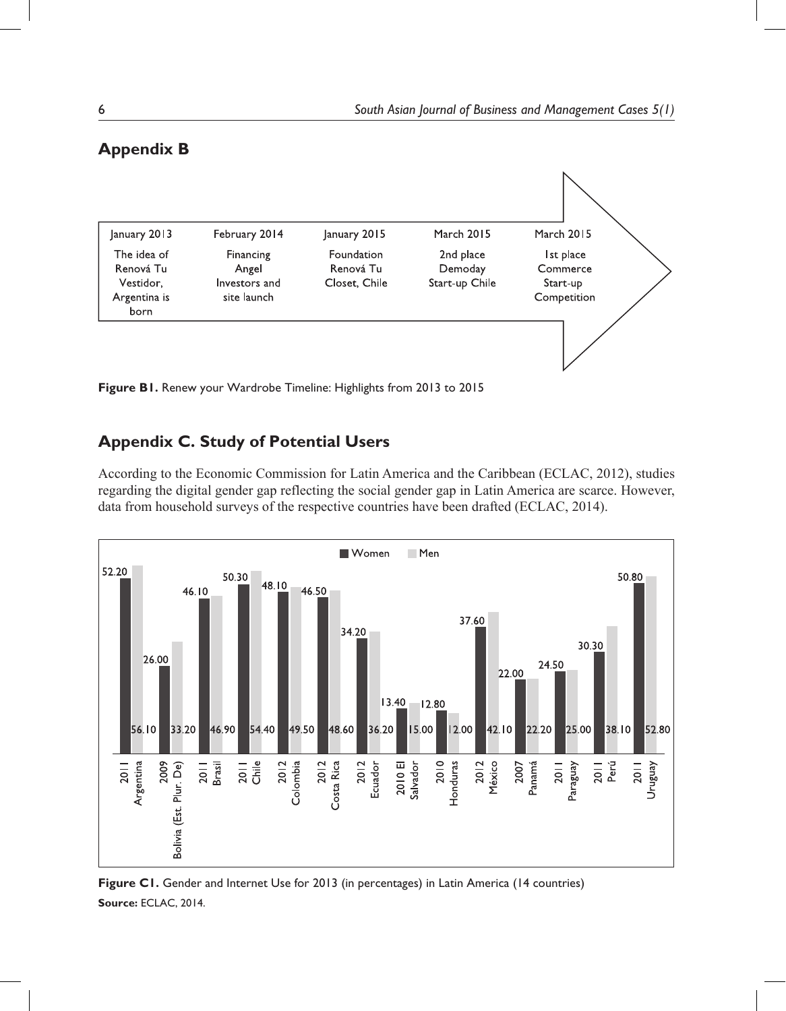# **Appendix B**



#### **Figure B1.** Renew your Wardrobe Timeline: Highlights from 2013 to 2015

# **Appendix C. Study of Potential Users**

According to the Economic Commission for Latin America and the Caribbean (ECLAC, 2012), studies regarding the digital gender gap reflecting the social gender gap in Latin America are scarce. However, data from household surveys of the respective countries have been drafted (ECLAC, 2014).



**Figure C1.** Gender and Internet Use for 2013 (in percentages) in Latin America (14 countries) **Source:** ECLAC, 2014.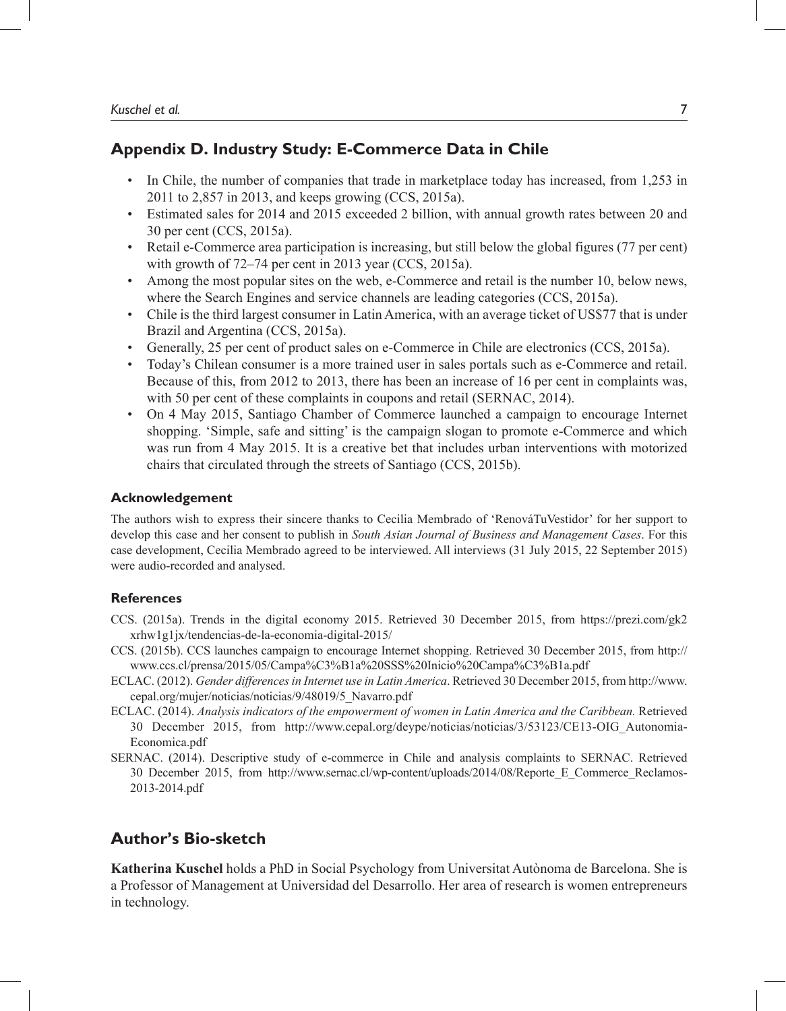#### **Appendix D. Industry Study: E-Commerce Data in Chile**

- In Chile, the number of companies that trade in marketplace today has increased, from 1,253 in 2011 to 2,857 in 2013, and keeps growing (CCS, 2015a).
- Estimated sales for 2014 and 2015 exceeded 2 billion, with annual growth rates between 20 and 30 per cent (CCS, 2015a).
- Retail e-Commerce area participation is increasing, but still below the global figures (77 per cent) with growth of 72–74 per cent in 2013 year (CCS, 2015a).
- Among the most popular sites on the web, e-Commerce and retail is the number 10, below news, where the Search Engines and service channels are leading categories (CCS, 2015a).
- Chile is the third largest consumer in Latin America, with an average ticket of US\$77 that is under Brazil and Argentina (CCS, 2015a).
- Generally, 25 per cent of product sales on e-Commerce in Chile are electronics (CCS, 2015a).
- Today's Chilean consumer is a more trained user in sales portals such as e-Commerce and retail. Because of this, from 2012 to 2013, there has been an increase of 16 per cent in complaints was, with 50 per cent of these complaints in coupons and retail (SERNAC, 2014).
- On 4 May 2015, Santiago Chamber of Commerce launched a campaign to encourage Internet shopping. 'Simple, safe and sitting' is the campaign slogan to promote e-Commerce and which was run from 4 May 2015. It is a creative bet that includes urban interventions with motorized chairs that circulated through the streets of Santiago (CCS, 2015b).

#### **Acknowledgement**

The authors wish to express their sincere thanks to Cecilia Membrado of 'RenováTuVestidor' for her support to develop this case and her consent to publish in *South Asian Journal of Business and Management Cases*. For this case development, Cecilia Membrado agreed to be interviewed. All interviews (31 July 2015, 22 September 2015) were audio-recorded and analysed.

#### **References**

- CCS. (2015a). Trends in the digital economy 2015. Retrieved 30 December 2015, from https://prezi.com/gk2 xrhw1g1jx/tendencias-de-la-economia-digital-2015/
- CCS. (2015b). CCS launches campaign to encourage Internet shopping. Retrieved 30 December 2015, from http:// www.ccs.cl/prensa/2015/05/Campa%C3%B1a%20SSS%20Inicio%20Campa%C3%B1a.pdf
- ECLAC. (2012). *Gender differences in Internet use in Latin America*. Retrieved 30 December 2015, from http://www. cepal.org/mujer/noticias/noticias/9/48019/5\_Navarro.pdf
- ECLAC. (2014). *Analysis indicators of the empowerment of women in Latin America and the Caribbean.* Retrieved 30 December 2015, from http://www.cepal.org/deype/noticias/noticias/3/53123/CE13-OIG\_Autonomia-Economica.pdf
- SERNAC. (2014). Descriptive study of e-commerce in Chile and analysis complaints to SERNAC. Retrieved 30 December 2015, from http://www.sernac.cl/wp-content/uploads/2014/08/Reporte\_E\_Commerce\_Reclamos-2013-2014.pdf

# **Author's Bio-sketch**

**Katherina Kuschel** holds a PhD in Social Psychology from Universitat Autònoma de Barcelona. She is a Professor of Management at Universidad del Desarrollo. Her area of research is women entrepreneurs in technology.